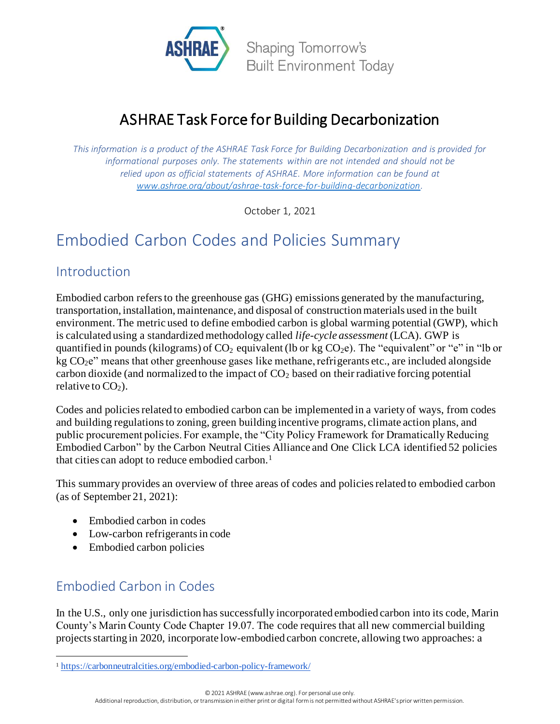

# ASHRAE Task Force for Building Decarbonization

*This information is a product of the ASHRAE Task Force for Building Decarbonization and is provided for informational purposes only. The statements within are not intended and should not be relied upon as official statements of ASHRAE. More information can be found at [www.ashrae.org/about/ashrae-task-force-for-building-decarbonization.](http://www.ashrae.org/about/ashrae-task-force-for-building-decarbonization)*

October 1, 2021

# Embodied Carbon Codes and Policies Summary

### **Introduction**

Embodied carbon refers to the greenhouse gas (GHG) emissions generated by the manufacturing, transportation, installation, maintenance, and disposal of construction materials used in the built environment. The metric used to define embodied carbon is global warming potential (GWP), which is calculated using a standardized methodology called *life-cycle assessment* (LCA). GWP is quantified in pounds (kilograms) of  $CO_2$  equivalent (lb or kg  $CO_2e$ ). The "equivalent" or "e" in "lb or  $kg CO<sub>2</sub>e''$  means that other greenhouse gases like methane, refrigerants etc., are included alongside carbon dioxide (and normalized to the impact of  $CO<sub>2</sub>$  based on their radiative forcing potential relative to  $CO<sub>2</sub>$ ).

Codes and policies related to embodied carbon can be implemented in a variety of ways, from codes and building regulations to zoning, green building incentive programs, climate action plans, and public procurement policies. For example, the "City Policy Framework for Dramatically Reducing Embodied Carbon" by the Carbon Neutral Cities Alliance and One Click LCA identified 52 policies that cities can adopt to reduce embodied carbon.<sup>1</sup>

This summary provides an overview of three areas of codes and policies related to embodied carbon (as of September 21, 2021):

- Embodied carbon in codes
- Low-carbon refrigerants in code
- Embodied carbon policies

## Embodied Carbon in Codes

In the U.S., only one jurisdiction has successfully incorporated embodied carbon into its code, Marin County's Marin County Code Chapter 19.07. The code requires that all new commercial building projects starting in 2020, incorporate low-embodied carbon concrete, allowing two approaches: a

<sup>1</sup> <https://carbonneutralcities.org/embodied-carbon-policy-framework/>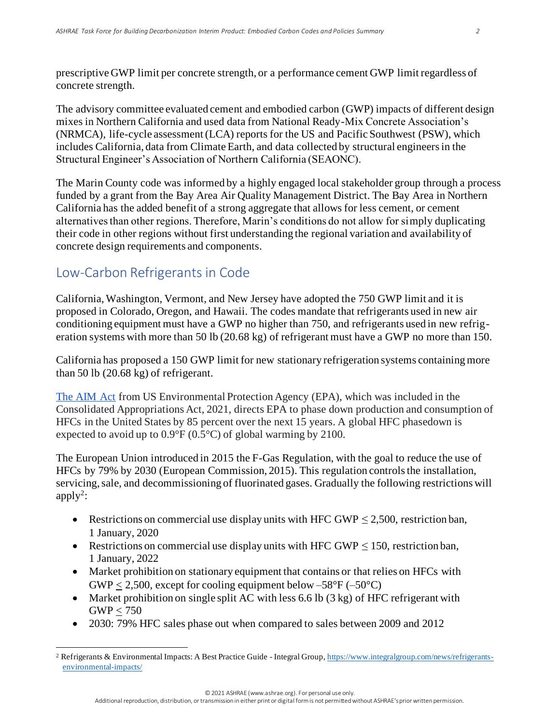prescriptive GWP limit per concrete strength, or a performance cement GWP limit regardless of concrete strength.

The advisory committee evaluated cement and embodied carbon (GWP) impacts of different design mixes in Northern California and used data from National Ready-Mix Concrete Association's (NRMCA), life-cycle assessment (LCA) reports for the US and Pacific Southwest (PSW), which includes California, data from Climate Earth, and data collected by structural engineers in the Structural Engineer's Association of Northern California (SEAONC).

The Marin County code was informed by a highly engaged local stakeholder group through a process funded by a grant from the Bay Area Air Quality Management District. The Bay Area in Northern California has the added benefit of a strong aggregate that allows for less cement, or cement alternatives than other regions. Therefore, Marin's conditions do not allow for simply duplicating their code in other regions without first understanding the regional variation and availability of concrete design requirements and components.

## Low-Carbon Refrigerants in Code

California, Washington, Vermont, and New Jersey have adopted the 750 GWP limit and it is proposed in Colorado, Oregon, and Hawaii. The codes mandate that refrigerants used in new air conditioning equipment must have a GWP no higher than 750, and refrigerants used in new refrigeration systems with more than 50 lb (20.68 kg) of refrigerant must have a GWP no more than 150.

California has proposed a 150 GWP limit for new stationary refrigeration systems containing more than 50 lb (20.68 kg) of refrigerant.

[The AIM Act](https://www.epa.gov/climate-hfcs-reduction/proposed-rule-phasedown-hydrofluorocarbons-establishing-allowance-allocation) from US Environmental Protection Agency (EPA), which was included in the Consolidated Appropriations Act, 2021, directs EPA to phase down production and consumption of HFCs in the United States by 85 percent over the next 15 years. A global HFC phasedown is expected to avoid up to 0.9°F (0.5°C) of global warming by 2100.

The European Union introduced in 2015 the F-Gas Regulation, with the goal to reduce the use of HFCs by 79% by 2030 (European Commission, 2015). This regulation controls the installation, servicing, sale, and decommissioning of fluorinated gases. Gradually the following restrictions will apply<sup>2</sup>:

- Restrictions on commercial use display units with HFC GWP  $\leq$  2,500, restriction ban, 1 January, 2020
- Restrictions on commercial use display units with HFC GWP  $\leq$  150, restriction ban, 1 January, 2022
- Market prohibition on stationary equipment that contains or that relies on HFCs with  $GWP < 2,500$ , except for cooling equipment below  $-58^{\circ}F (-50^{\circ}C)$
- Market prohibition on single split AC with less 6.6 lb (3 kg) of HFC refrigerant with GWP < 750
- 2030: 79% HFC sales phase out when compared to sales between 2009 and 2012

<sup>2</sup> Refrigerants & Environmental Impacts: A Best Practice Guide - Integral Group[, https://www.integralgroup.com/news/refrigerants](https://www.integralgroup.com/news/refrigerants-environmental-impacts/)[environmental-impacts/](https://www.integralgroup.com/news/refrigerants-environmental-impacts/)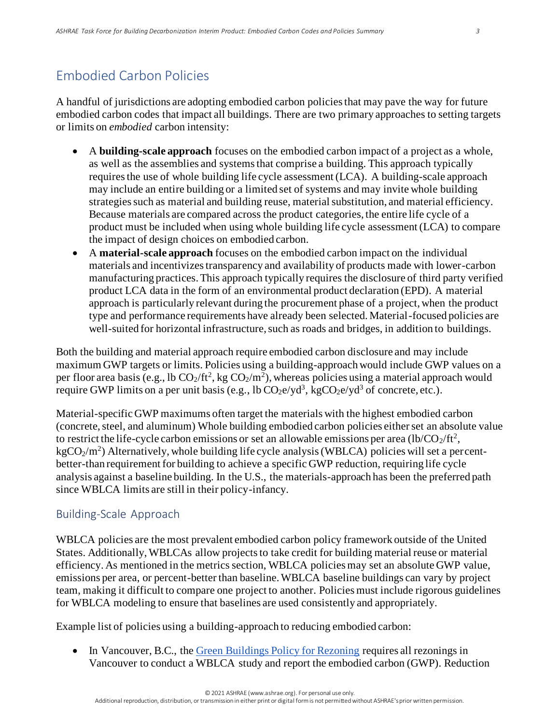### Embodied Carbon Policies

A handful of jurisdictions are adopting embodied carbon policies that may pave the way for future embodied carbon codes that impact all buildings. There are two primary approaches to setting targets or limits on *embodied* carbon intensity:

- A **building-scale approach** focuses on the embodied carbon impact of a project as a whole, as well as the assemblies and systems that comprise a building. This approach typically requires the use of whole building life cycle assessment (LCA). A building-scale approach may include an entire building or a limited set of systems and may invite whole building strategies such as material and building reuse, material substitution, and material efficiency. Because materials are compared across the product categories, the entire life cycle of a product must be included when using whole building life cycle assessment (LCA) to compare the impact of design choices on embodied carbon.
- A **material-scale approach** focuses on the embodied carbon impact on the individual materials and incentivizes transparency and availability of products made with lower-carbon manufacturing practices. This approach typically requires the disclosure of third party verified product LCA data in the form of an environmental product declaration (EPD). A material approach is particularly relevant during the procurement phase of a project, when the product type and performance requirements have already been selected. Material-focused policies are well-suited for horizontal infrastructure, such as roads and bridges, in addition to buildings.

Both the building and material approach require embodied carbon disclosure and may include maximum GWP targets or limits. Policies using a building-approach would include GWP values on a per floor area basis (e.g., lb  $CO_2/ft^2$ , kg  $CO_2/m^2$ ), whereas policies using a material approach would require GWP limits on a per unit basis (e.g., lb  $CO<sub>2</sub>e/yd<sup>3</sup>$ , kg $CO<sub>2</sub>e/yd<sup>3</sup>$  of concrete, etc.).

Material-specific GWP maximums often target the materials with the highest embodied carbon (concrete, steel, and aluminum) Whole building embodied carbon policies either set an absolute value to restrict the life-cycle carbon emissions or set an allowable emissions per area (lb/CO<sub>2</sub>/ft<sup>2</sup>,  $kgCO<sub>2</sub>/m<sup>2</sup>$ ) Alternatively, whole building life cycle analysis (WBLCA) policies will set a percentbetter-than requirement for building to achieve a specific GWP reduction, requiring life cycle analysis against a baseline building. In the U.S., the materials-approach has been the preferred path since WBLCA limits are still in their policy-infancy.

#### Building-Scale Approach

WBLCA policies are the most prevalent embodied carbon policy framework outside of the United States. Additionally, WBLCAs allow projects to take credit for building material reuse or material efficiency. As mentioned in the metrics section, WBLCA policies may set an absolute GWP value, emissions per area, or percent-better than baseline. WBLCA baseline buildings can vary by project team, making it difficult to compare one project to another. Policies must include rigorous guidelines for WBLCA modeling to ensure that baselines are used consistently and appropriately.

Example list of policies using a building-approach to reducing embodied carbon:

• In Vancouver, B.C., the [Green Buildings Policy for Rezoning](https://vancouver.ca/files/cov/cov-embodied-carbon-policy-review-report.pdf) requires all rezonings in Vancouver to conduct a WBLCA study and report the embodied carbon (GWP). Reduction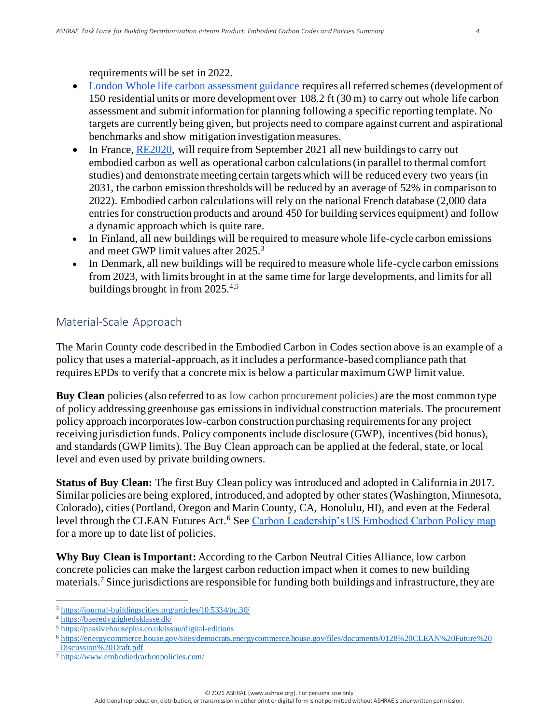requirements will be set in 2022.

- [London Whole life carbon assessment guidance](https://www.london.gov.uk/publications/whole-life-cycle-carbon-assessments-guidance) requires all referred schemes (development of 150 residential units or more development over 108.2 ft (30 m) to carry out whole life carbon assessment and submit information for planning following a specific reporting template. No targets are currently being given, but projects need to compare against current and aspirational benchmarks and show mitigation investigation measures.
- In France, [RE2020,](https://www.ecologie.gouv.fr/reglementation-environnementale-re2020) will require from September 2021 all new buildings to carry out embodied carbon as well as operational carbon calculations (in parallel to thermal comfort studies) and demonstrate meeting certain targets which will be reduced every two years (in 2031, the carbon emission thresholds will be reduced by an average of 52% in comparison to 2022). Embodied carbon calculations will rely on the national French database (2,000 data entries for construction products and around 450 for building services equipment) and follow a dynamic approach which is quite rare.
- In Finland, all new buildings will be required to measure whole life-cycle carbon emissions and meet GWP limit values after 2025.<sup>3</sup>
- In Denmark, all new buildings will be required to measure whole life-cycle carbon emissions from 2023, with limits brought in at the same time for large developments, and limits for all buildings brought in from 2025.4,5

#### Material-Scale Approach

The Marin County code described in the Embodied Carbon in Codes section above is an example of a policy that uses a material-approach, as it includes a performance-based compliance path that requires EPDs to verify that a concrete mix is below a particular maximum GWP limit value.

**Buy Clean** policies (also referred to as low carbon procurement policies) are the most common type of policy addressing greenhouse gas emissions in individual construction materials. The procurement policy approach incorporates low-carbon construction purchasing requirements for any project receiving jurisdiction funds. Policy components include disclosure (GWP), incentives (bid bonus), and standards (GWP limits).The Buy Clean approach can be applied at the federal, state, or local level and even used by private building owners.

**Status of Buy Clean:** The first Buy Clean policy was introduced and adopted in California in 2017. Similar policies are being explored, introduced, and adopted by other states (Washington, Minnesota, Colorado), cities (Portland, Oregon and Marin County, CA, Honolulu, HI), and even at the Federal l[e](https://carbonleadershipforum.org/clf-policy-toolkit/)vel through the CLEAN Futures Act.<sup>6</sup> See [Carbon Leadership's US Embodied Carbon Policy map](https://carbonleadershipforum.org/clf-policy-toolkit/) for a more up to date list of policies.

**Why Buy Clean is Important:** According to the Carbon Neutral Cities Alliance, low carbon concrete policies can make the largest carbon reduction impact when it comes to new building materials.<sup>7</sup> Since jurisdictions are responsible for funding both buildings and infrastructure, they are

<sup>3</sup> <https://journal-buildingscities.org/articles/10.5334/bc.30/>

<sup>4</sup> <https://baeredygtighedsklasse.dk/>

<sup>5</sup> <https://passivehouseplus.co.uk/issuu/digital-editions>

<sup>6</sup> [https://energycommerce.house.gov/sites/democrats.energycommerce.house.gov/files/documents/0128%20CLEAN%20Future%20](https://energycommerce.house.gov/sites/democrats.energycommerce.house.gov/files/documents/0128%20CLEAN%20Future%20%20%20Discussion%20Draft.pdf)  [Discussion%20Draft.pdf](https://energycommerce.house.gov/sites/democrats.energycommerce.house.gov/files/documents/0128%20CLEAN%20Future%20%20%20Discussion%20Draft.pdf)

<sup>7</sup> <https://www.embodiedcarbonpolicies.com/>